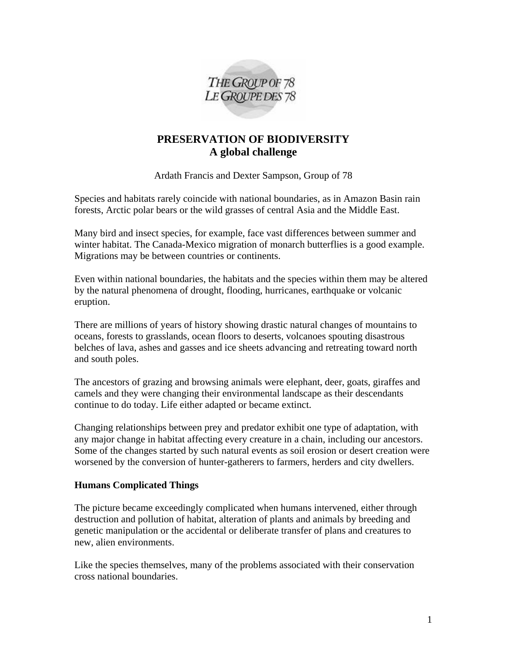

# **PRESERVATION OF BIODIVERSITY A global challenge**

Ardath Francis and Dexter Sampson, Group of 78

Species and habitats rarely coincide with national boundaries, as in Amazon Basin rain forests, Arctic polar bears or the wild grasses of central Asia and the Middle East.

Many bird and insect species, for example, face vast differences between summer and winter habitat. The Canada-Mexico migration of monarch butterflies is a good example. Migrations may be between countries or continents.

Even within national boundaries, the habitats and the species within them may be altered by the natural phenomena of drought, flooding, hurricanes, earthquake or volcanic eruption.

There are millions of years of history showing drastic natural changes of mountains to oceans, forests to grasslands, ocean floors to deserts, volcanoes spouting disastrous belches of lava, ashes and gasses and ice sheets advancing and retreating toward north and south poles.

The ancestors of grazing and browsing animals were elephant, deer, goats, giraffes and camels and they were changing their environmental landscape as their descendants continue to do today. Life either adapted or became extinct.

Changing relationships between prey and predator exhibit one type of adaptation, with any major change in habitat affecting every creature in a chain, including our ancestors. Some of the changes started by such natural events as soil erosion or desert creation were worsened by the conversion of hunter-gatherers to farmers, herders and city dwellers.

## **Humans Complicated Things**

The picture became exceedingly complicated when humans intervened, either through destruction and pollution of habitat, alteration of plants and animals by breeding and genetic manipulation or the accidental or deliberate transfer of plans and creatures to new, alien environments.

Like the species themselves, many of the problems associated with their conservation cross national boundaries.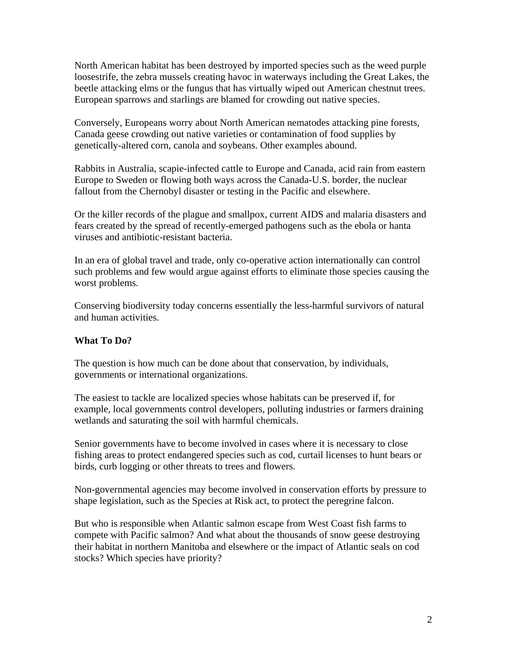North American habitat has been destroyed by imported species such as the weed purple loosestrife, the zebra mussels creating havoc in waterways including the Great Lakes, the beetle attacking elms or the fungus that has virtually wiped out American chestnut trees. European sparrows and starlings are blamed for crowding out native species.

Conversely, Europeans worry about North American nematodes attacking pine forests, Canada geese crowding out native varieties or contamination of food supplies by genetically-altered corn, canola and soybeans. Other examples abound.

Rabbits in Australia, scapie-infected cattle to Europe and Canada, acid rain from eastern Europe to Sweden or flowing both ways across the Canada-U.S. border, the nuclear fallout from the Chernobyl disaster or testing in the Pacific and elsewhere.

Or the killer records of the plague and smallpox, current AIDS and malaria disasters and fears created by the spread of recently-emerged pathogens such as the ebola or hanta viruses and antibiotic-resistant bacteria.

In an era of global travel and trade, only co-operative action internationally can control such problems and few would argue against efforts to eliminate those species causing the worst problems.

Conserving biodiversity today concerns essentially the less-harmful survivors of natural and human activities.

## **What To Do?**

The question is how much can be done about that conservation, by individuals, governments or international organizations.

The easiest to tackle are localized species whose habitats can be preserved if, for example, local governments control developers, polluting industries or farmers draining wetlands and saturating the soil with harmful chemicals.

Senior governments have to become involved in cases where it is necessary to close fishing areas to protect endangered species such as cod, curtail licenses to hunt bears or birds, curb logging or other threats to trees and flowers.

Non-governmental agencies may become involved in conservation efforts by pressure to shape legislation, such as the Species at Risk act, to protect the peregrine falcon.

But who is responsible when Atlantic salmon escape from West Coast fish farms to compete with Pacific salmon? And what about the thousands of snow geese destroying their habitat in northern Manitoba and elsewhere or the impact of Atlantic seals on cod stocks? Which species have priority?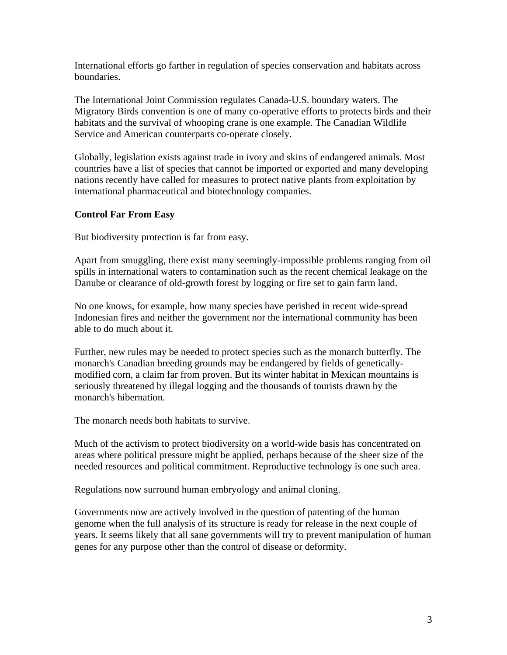International efforts go farther in regulation of species conservation and habitats across boundaries.

The International Joint Commission regulates Canada-U.S. boundary waters. The Migratory Birds convention is one of many co-operative efforts to protects birds and their habitats and the survival of whooping crane is one example. The Canadian Wildlife Service and American counterparts co-operate closely.

Globally, legislation exists against trade in ivory and skins of endangered animals. Most countries have a list of species that cannot be imported or exported and many developing nations recently have called for measures to protect native plants from exploitation by international pharmaceutical and biotechnology companies.

## **Control Far From Easy**

But biodiversity protection is far from easy.

Apart from smuggling, there exist many seemingly-impossible problems ranging from oil spills in international waters to contamination such as the recent chemical leakage on the Danube or clearance of old-growth forest by logging or fire set to gain farm land.

No one knows, for example, how many species have perished in recent wide-spread Indonesian fires and neither the government nor the international community has been able to do much about it.

Further, new rules may be needed to protect species such as the monarch butterfly. The monarch's Canadian breeding grounds may be endangered by fields of geneticallymodified corn, a claim far from proven. But its winter habitat in Mexican mountains is seriously threatened by illegal logging and the thousands of tourists drawn by the monarch's hibernation.

The monarch needs both habitats to survive.

Much of the activism to protect biodiversity on a world-wide basis has concentrated on areas where political pressure might be applied, perhaps because of the sheer size of the needed resources and political commitment. Reproductive technology is one such area.

Regulations now surround human embryology and animal cloning.

Governments now are actively involved in the question of patenting of the human genome when the full analysis of its structure is ready for release in the next couple of years. It seems likely that all sane governments will try to prevent manipulation of human genes for any purpose other than the control of disease or deformity.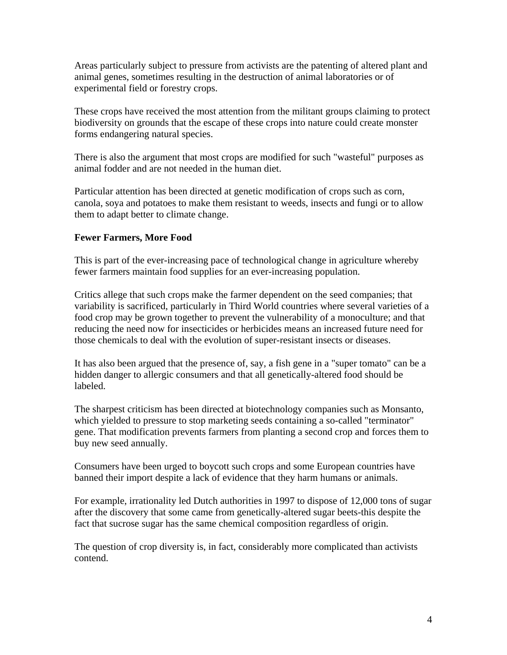Areas particularly subject to pressure from activists are the patenting of altered plant and animal genes, sometimes resulting in the destruction of animal laboratories or of experimental field or forestry crops.

These crops have received the most attention from the militant groups claiming to protect biodiversity on grounds that the escape of these crops into nature could create monster forms endangering natural species.

There is also the argument that most crops are modified for such "wasteful" purposes as animal fodder and are not needed in the human diet.

Particular attention has been directed at genetic modification of crops such as corn, canola, soya and potatoes to make them resistant to weeds, insects and fungi or to allow them to adapt better to climate change.

## **Fewer Farmers, More Food**

This is part of the ever-increasing pace of technological change in agriculture whereby fewer farmers maintain food supplies for an ever-increasing population.

Critics allege that such crops make the farmer dependent on the seed companies; that variability is sacrificed, particularly in Third World countries where several varieties of a food crop may be grown together to prevent the vulnerability of a monoculture; and that reducing the need now for insecticides or herbicides means an increased future need for those chemicals to deal with the evolution of super-resistant insects or diseases.

It has also been argued that the presence of, say, a fish gene in a "super tomato" can be a hidden danger to allergic consumers and that all genetically-altered food should be labeled.

The sharpest criticism has been directed at biotechnology companies such as Monsanto, which yielded to pressure to stop marketing seeds containing a so-called "terminator" gene. That modification prevents farmers from planting a second crop and forces them to buy new seed annually.

Consumers have been urged to boycott such crops and some European countries have banned their import despite a lack of evidence that they harm humans or animals.

For example, irrationality led Dutch authorities in 1997 to dispose of 12,000 tons of sugar after the discovery that some came from genetically-altered sugar beets-this despite the fact that sucrose sugar has the same chemical composition regardless of origin.

The question of crop diversity is, in fact, considerably more complicated than activists contend.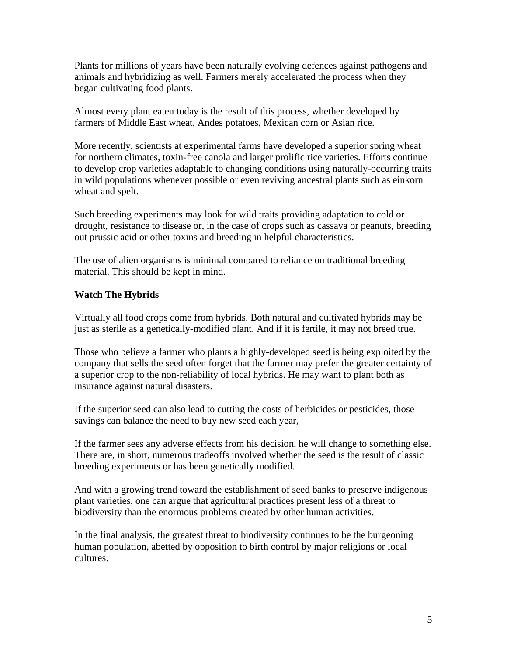Plants for millions of years have been naturally evolving defences against pathogens and animals and hybridizing as well. Farmers merely accelerated the process when they began cultivating food plants.

Almost every plant eaten today is the result of this process, whether developed by farmers of Middle East wheat, Andes potatoes, Mexican corn or Asian rice.

More recently, scientists at experimental farms have developed a superior spring wheat for northern climates, toxin-free canola and larger prolific rice varieties. Efforts continue to develop crop varieties adaptable to changing conditions using naturally-occurring traits in wild populations whenever possible or even reviving ancestral plants such as einkorn wheat and spelt.

Such breeding experiments may look for wild traits providing adaptation to cold or drought, resistance to disease or, in the case of crops such as cassava or peanuts, breeding out prussic acid or other toxins and breeding in helpful characteristics.

The use of alien organisms is minimal compared to reliance on traditional breeding material. This should be kept in mind.

## **Watch The Hybrids**

Virtually all food crops come from hybrids. Both natural and cultivated hybrids may be just as sterile as a genetically-modified plant. And if it is fertile, it may not breed true.

Those who believe a farmer who plants a highly-developed seed is being exploited by the company that sells the seed often forget that the farmer may prefer the greater certainty of a superior crop to the non-reliability of local hybrids. He may want to plant both as insurance against natural disasters.

If the superior seed can also lead to cutting the costs of herbicides or pesticides, those savings can balance the need to buy new seed each year,

If the farmer sees any adverse effects from his decision, he will change to something else. There are, in short, numerous tradeoffs involved whether the seed is the result of classic breeding experiments or has been genetically modified.

And with a growing trend toward the establishment of seed banks to preserve indigenous plant varieties, one can argue that agricultural practices present less of a threat to biodiversity than the enormous problems created by other human activities.

In the final analysis, the greatest threat to biodiversity continues to be the burgeoning human population, abetted by opposition to birth control by major religions or local cultures.